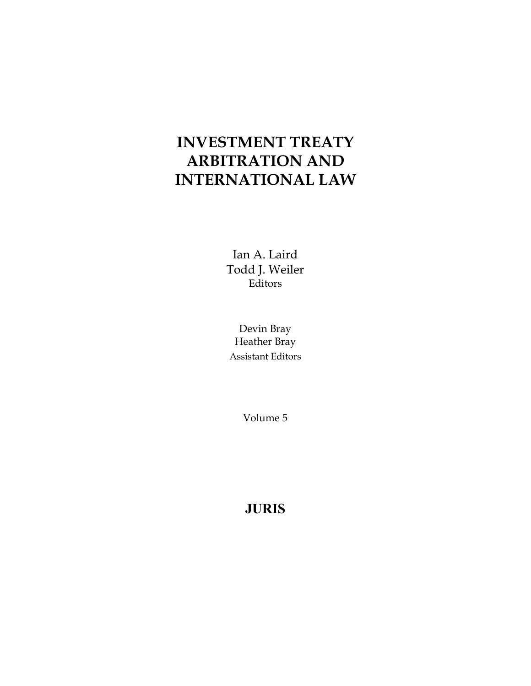# **INVESTMENT TREATY ARBITRATION AND INTERNATIONAL LAW**

Ian A. Laird Todd J. Weiler Editors

Devin Bray Heather Bray Assistant Editors

Volume 5

**JURIS**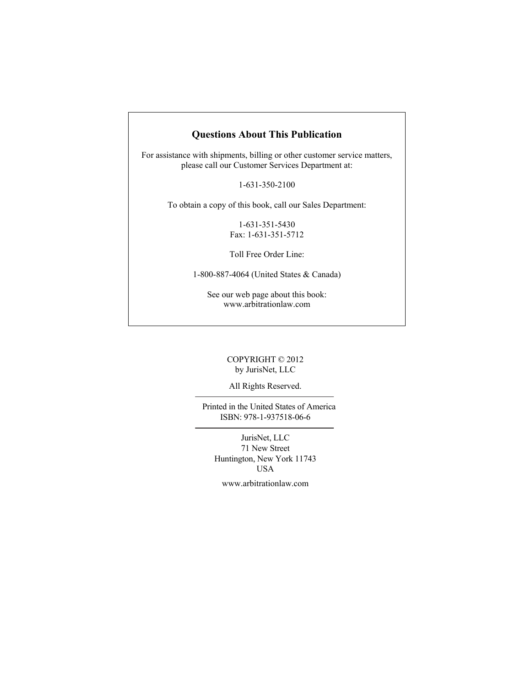#### **Questions About This Publication**

For assistance with shipments, billing or other customer service matters, please call our Customer Services Department at:

1-631-350-2100

To obtain a copy of this book, call our Sales Department:

1-631-351-5430 Fax: 1-631-351-5712

Toll Free Order Line:

1-800-887-4064 (United States & Canada)

See our web page about this book: www.arbitrationlaw.com

#### COPYRIGHT © 2012 by JurisNet, LLC

All Rights Reserved.

 Printed in the United States of America ISBN: 978-1-937518-06-6

JurisNet, LLC 71 New Street Huntington, New York 11743 USA

www.arbitrationlaw.com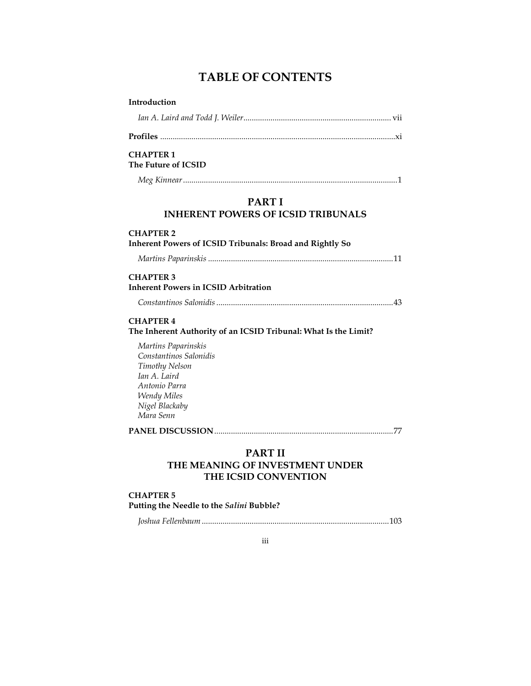## **TABLE OF CONTENTS**

| Introduction                                                                        |  |  |
|-------------------------------------------------------------------------------------|--|--|
|                                                                                     |  |  |
|                                                                                     |  |  |
| <b>CHAPTER 1</b><br>The Future of ICSID                                             |  |  |
|                                                                                     |  |  |
| <b>PARTI</b><br><b>INHERENT POWERS OF ICSID TRIBUNALS</b>                           |  |  |
| <b>CHAPTER 2</b><br><b>Inherent Powers of ICSID Tribunals: Broad and Rightly So</b> |  |  |
|                                                                                     |  |  |
| <b>CHAPTER 3</b><br><b>Inherent Powers in ICSID Arbitration</b>                     |  |  |
|                                                                                     |  |  |
| <b>CHAPTER 4</b><br>The Inherent Authority of an ICSID Tribunal: What Is the Limit? |  |  |
| Martins Paparinskis<br>Constantinos Salonidis                                       |  |  |
| Timothy Nelson                                                                      |  |  |
| Ian A. Laird                                                                        |  |  |
| Antonio Parra                                                                       |  |  |
| <b>Wendy Miles</b>                                                                  |  |  |
| Nigel Blackaby<br>Mara Senn                                                         |  |  |
|                                                                                     |  |  |
| <b>PART II</b><br>THE MEANING OF INVESTMENT UNDER<br>THE ICSID CONVENTION           |  |  |
| <b>CHAPTER 5</b><br>Putting the Needle to the Salini Bubble?                        |  |  |

*Joshua Fellenbaum* .......................................................................................... 103

iii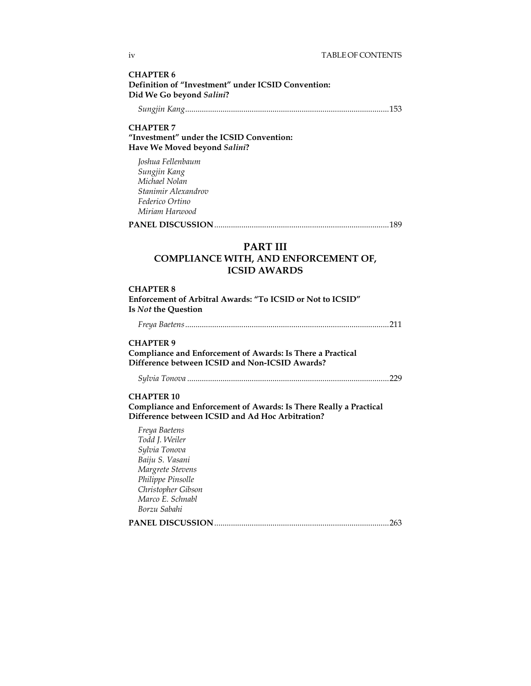**CHAPTER 6 Definition of "Investment" under ICSID Convention: Did We Go beyond** *Salini***?** 

 *Sungjin Kang* .................................................................................................. 153

#### **CHAPTER 7 "Investment" under the ICSID Convention: Have We Moved beyond** *Salini***?**

*Joshua Fellenbaum Sungjin Kang Michael Nolan Stanimir Alexandrov Federico Ortino Miriam Harwood* 

**PANEL DISCUSSION** .................................................................................... 189

#### **PART III COMPLIANCE WITH, AND ENFORCEMENT OF, ICSID AWARDS**

#### **CHAPTER 8**

**Enforcement of Arbitral Awards: "To ICSID or Not to ICSID" Is** *Not* **the Question** 

 *Freya Baetens* .................................................................................................. 211

#### **CHAPTER 9**

**Compliance and Enforcement of Awards: Is There a Practical Difference between ICSID and Non-ICSID Awards?** 

*Sylvia Tonova* ................................................................................................. 229

#### **CHAPTER 10**

**Compliance and Enforcement of Awards: Is There Really a Practical Difference between ICSID and Ad Hoc Arbitration?** 

| Freya Baetens           |     |
|-------------------------|-----|
| Todd J. Weiler          |     |
| Sylvia Tonova           |     |
| Baiju S. Vasani         |     |
| Margrete Stevens        |     |
| Philippe Pinsolle       |     |
| Christopher Gibson      |     |
| Marco E. Schnabl        |     |
| Borzu Sabahi            |     |
| <b>PANEL DISCUSSION</b> | 263 |
|                         |     |